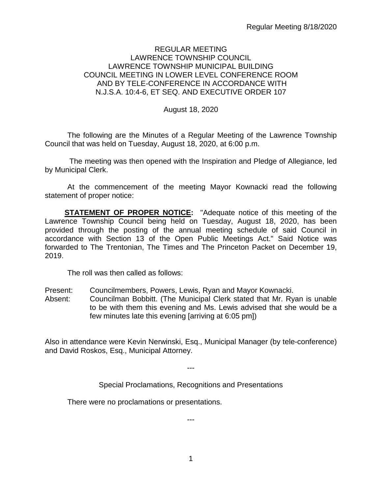# REGULAR MEETING LAWRENCE TOWNSHIP COUNCIL LAWRENCE TOWNSHIP MUNICIPAL BUILDING COUNCIL MEETING IN LOWER LEVEL CONFERENCE ROOM AND BY TELE-CONFERENCE IN ACCORDANCE WITH N.J.S.A. 10:4-6, ET SEQ. AND EXECUTIVE ORDER 107

August 18, 2020

The following are the Minutes of a Regular Meeting of the Lawrence Township Council that was held on Tuesday, August 18, 2020, at 6:00 p.m.

The meeting was then opened with the Inspiration and Pledge of Allegiance, led by Municipal Clerk.

At the commencement of the meeting Mayor Kownacki read the following statement of proper notice:

**STATEMENT OF PROPER NOTICE:** "Adequate notice of this meeting of the Lawrence Township Council being held on Tuesday, August 18, 2020, has been provided through the posting of the annual meeting schedule of said Council in accordance with Section 13 of the Open Public Meetings Act." Said Notice was forwarded to The Trentonian, The Times and The Princeton Packet on December 19, 2019.

The roll was then called as follows:

Present: Councilmembers, Powers, Lewis, Ryan and Mayor Kownacki.

Absent: Councilman Bobbitt. (The Municipal Clerk stated that Mr. Ryan is unable to be with them this evening and Ms. Lewis advised that she would be a few minutes late this evening [arriving at 6:05 pm])

Also in attendance were Kevin Nerwinski, Esq., Municipal Manager (by tele-conference) and David Roskos, Esq., Municipal Attorney.

---

Special Proclamations, Recognitions and Presentations

There were no proclamations or presentations.

---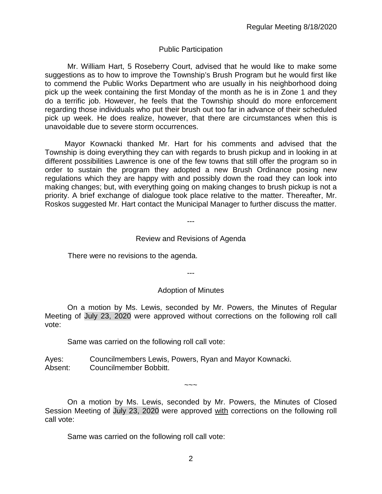# Public Participation

Mr. William Hart, 5 Roseberry Court, advised that he would like to make some suggestions as to how to improve the Township's Brush Program but he would first like to commend the Public Works Department who are usually in his neighborhood doing pick up the week containing the first Monday of the month as he is in Zone 1 and they do a terrific job. However, he feels that the Township should do more enforcement regarding those individuals who put their brush out too far in advance of their scheduled pick up week. He does realize, however, that there are circumstances when this is unavoidable due to severe storm occurrences.

Mayor Kownacki thanked Mr. Hart for his comments and advised that the Township is doing everything they can with regards to brush pickup and in looking in at different possibilities Lawrence is one of the few towns that still offer the program so in order to sustain the program they adopted a new Brush Ordinance posing new regulations which they are happy with and possibly down the road they can look into making changes; but, with everything going on making changes to brush pickup is not a priority. A brief exchange of dialogue took place relative to the matter. Thereafter, Mr. Roskos suggested Mr. Hart contact the Municipal Manager to further discuss the matter.

# Review and Revisions of Agenda

---

There were no revisions to the agenda.

---

# Adoption of Minutes

On a motion by Ms. Lewis, seconded by Mr. Powers, the Minutes of Regular Meeting of July 23, 2020 were approved without corrections on the following roll call vote:

Same was carried on the following roll call vote:

Ayes: Councilmembers Lewis, Powers, Ryan and Mayor Kownacki. Absent: Councilmember Bobbitt.

On a motion by Ms. Lewis, seconded by Mr. Powers, the Minutes of Closed Session Meeting of July 23, 2020 were approved with corrections on the following roll call vote:

 $\sim\sim\sim$ 

Same was carried on the following roll call vote: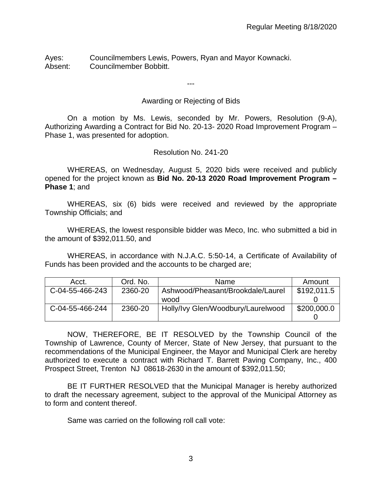Ayes: Councilmembers Lewis, Powers, Ryan and Mayor Kownacki. Absent: Councilmember Bobbitt.

---

# Awarding or Rejecting of Bids

On a motion by Ms. Lewis, seconded by Mr. Powers, Resolution (9-A), Authorizing Awarding a Contract for Bid No. 20-13- 2020 Road Improvement Program – Phase 1, was presented for adoption.

# Resolution No. 241-20

WHEREAS, on Wednesday, August 5, 2020 bids were received and publicly opened for the project known as **Bid No. 20-13 2020 Road Improvement Program – Phase 1**; and

WHEREAS, six (6) bids were received and reviewed by the appropriate Township Officials; and

WHEREAS, the lowest responsible bidder was Meco, Inc. who submitted a bid in the amount of \$392,011.50, and

WHEREAS, in accordance with N.J.A.C. 5:50-14, a Certificate of Availability of Funds has been provided and the accounts to be charged are;

| Acct.           | Ord. No. | <b>Name</b>                        | Amount      |
|-----------------|----------|------------------------------------|-------------|
| C-04-55-466-243 | 2360-20  | Ashwood/Pheasant/Brookdale/Laurel  | \$192,011.5 |
|                 |          | wood                               |             |
| C-04-55-466-244 | 2360-20  | Holly/Ivy Glen/Woodbury/Laurelwood | \$200,000.0 |
|                 |          |                                    |             |

NOW, THEREFORE, BE IT RESOLVED by the Township Council of the Township of Lawrence, County of Mercer, State of New Jersey, that pursuant to the recommendations of the Municipal Engineer, the Mayor and Municipal Clerk are hereby authorized to execute a contract with Richard T. Barrett Paving Company, Inc., 400 Prospect Street, Trenton NJ 08618-2630 in the amount of \$392,011.50;

BE IT FURTHER RESOLVED that the Municipal Manager is hereby authorized to draft the necessary agreement, subject to the approval of the Municipal Attorney as to form and content thereof.

Same was carried on the following roll call vote: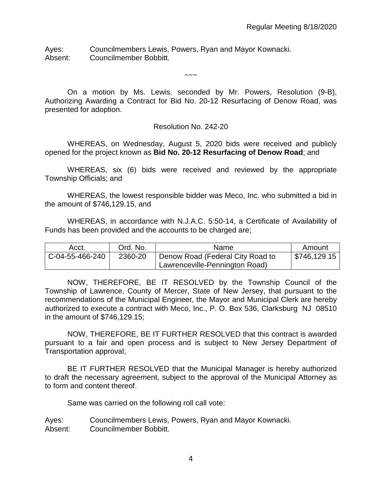Ayes: Councilmembers Lewis, Powers, Ryan and Mayor Kownacki. Absent: Councilmember Bobbitt.

On a motion by Ms. Lewis, seconded by Mr. Powers, Resolution (9-B), Authorizing Awarding a Contract for Bid No. 20-12 Resurfacing of Denow Road, was presented for adoption.

 $\sim\sim\sim$ 

#### Resolution No. 242-20

WHEREAS, on Wednesday, August 5, 2020 bids were received and publicly opened for the project known as **Bid No. 20-12 Resurfacing of Denow Road**; and

WHEREAS, six (6) bids were received and reviewed by the appropriate Township Officials; and

WHEREAS, the lowest responsible bidder was Meco, Inc. who submitted a bid in the amount of \$746,129.15, and

WHEREAS, in accordance with N.J.A.C. 5:50-14, a Certificate of Availability of Funds has been provided and the accounts to be charged are;

| Acct.           | Ord. No. | Name                             | Amount       |
|-----------------|----------|----------------------------------|--------------|
| C-04-55-466-240 | 2360-20  | Denow Road (Federal City Road to | \$746,129.15 |
|                 |          | Lawrenceville-Pennington Road)   |              |

NOW, THEREFORE, BE IT RESOLVED by the Township Council of the Township of Lawrence, County of Mercer, State of New Jersey, that pursuant to the recommendations of the Municipal Engineer, the Mayor and Municipal Clerk are hereby authorized to execute a contract with Meco, Inc., P. O. Box 536, Clarksburg NJ 08510 in the amount of \$746,129.15;

NOW, THEREFORE, BE IT FURTHER RESOLVED that this contract is awarded pursuant to a fair and open process and is subject to New Jersey Department of Transportation approval;

BE IT FURTHER RESOLVED that the Municipal Manager is hereby authorized to draft the necessary agreement, subject to the approval of the Municipal Attorney as to form and content thereof.

Same was carried on the following roll call vote:

Ayes: Councilmembers Lewis, Powers, Ryan and Mayor Kownacki. Absent: Councilmember Bobbitt.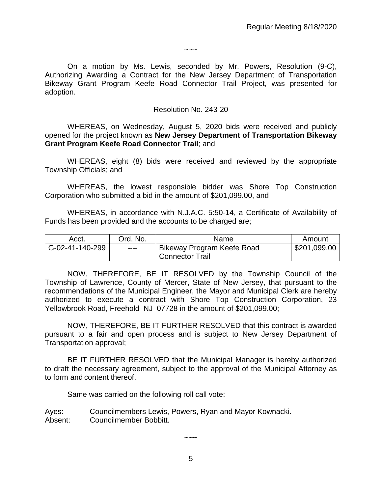$\sim\sim\sim$ 

On a motion by Ms. Lewis, seconded by Mr. Powers, Resolution (9-C), Authorizing Awarding a Contract for the New Jersey Department of Transportation Bikeway Grant Program Keefe Road Connector Trail Project, was presented for adoption.

#### Resolution No. 243-20

WHEREAS, on Wednesday, August 5, 2020 bids were received and publicly opened for the project known as **New Jersey Department of Transportation Bikeway Grant Program Keefe Road Connector Trail**; and

WHEREAS, eight (8) bids were received and reviewed by the appropriate Township Officials; and

WHEREAS, the lowest responsible bidder was Shore Top Construction Corporation who submitted a bid in the amount of \$201,099.00, and

WHEREAS, in accordance with N.J.A.C. 5:50-14, a Certificate of Availability of Funds has been provided and the accounts to be charged are;

| Acct.           | Ord. No. | Name                       | Amount       |
|-----------------|----------|----------------------------|--------------|
| G-02-41-140-299 | $---$    | Bikeway Program Keefe Road | \$201,099.00 |
|                 |          | <b>Connector Trail</b>     |              |

NOW, THEREFORE, BE IT RESOLVED by the Township Council of the Township of Lawrence, County of Mercer, State of New Jersey, that pursuant to the recommendations of the Municipal Engineer, the Mayor and Municipal Clerk are hereby authorized to execute a contract with Shore Top Construction Corporation, 23 Yellowbrook Road, Freehold NJ 07728 in the amount of \$201,099.00;

NOW, THEREFORE, BE IT FURTHER RESOLVED that this contract is awarded pursuant to a fair and open process and is subject to New Jersey Department of Transportation approval;

BE IT FURTHER RESOLVED that the Municipal Manager is hereby authorized to draft the necessary agreement, subject to the approval of the Municipal Attorney as to form and content thereof.

Same was carried on the following roll call vote:

Ayes: Councilmembers Lewis, Powers, Ryan and Mayor Kownacki. Absent: Councilmember Bobbitt.

 $\sim\sim\sim$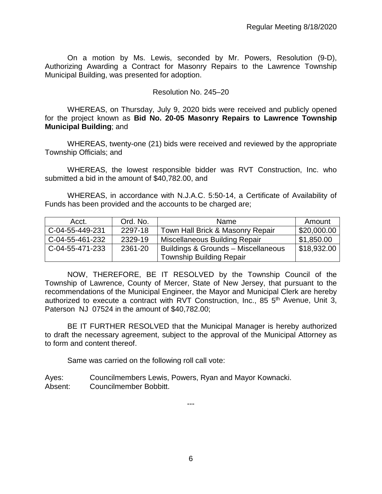On a motion by Ms. Lewis, seconded by Mr. Powers, Resolution (9-D), Authorizing Awarding a Contract for Masonry Repairs to the Lawrence Township Municipal Building, was presented for adoption.

## Resolution No. 245–20

WHEREAS, on Thursday, July 9, 2020 bids were received and publicly opened for the project known as **Bid No. 20-05 Masonry Repairs to Lawrence Township Municipal Building**; and

WHEREAS, twenty-one (21) bids were received and reviewed by the appropriate Township Officials; and

WHEREAS, the lowest responsible bidder was RVT Construction, Inc. who submitted a bid in the amount of \$40,782.00, and

WHEREAS, in accordance with N.J.A.C. 5:50-14, a Certificate of Availability of Funds has been provided and the accounts to be charged are;

| Acct.           | Ord. No. | Name                                           | Amount                    |
|-----------------|----------|------------------------------------------------|---------------------------|
| C-04-55-449-231 | 2297-18  | Town Hall Brick & Masonry Repair               | \$20,000.00               |
| C-04-55-461-232 | 2329-19  | Miscellaneous Building Repair                  | \$1,850.00                |
| C-04-55-471-233 | 2361-20  | <b>Buildings &amp; Grounds - Miscellaneous</b> | $\frac{1}{2}$ \$18,932.00 |
|                 |          | <b>Township Building Repair</b>                |                           |

NOW, THEREFORE, BE IT RESOLVED by the Township Council of the Township of Lawrence, County of Mercer, State of New Jersey, that pursuant to the recommendations of the Municipal Engineer, the Mayor and Municipal Clerk are hereby authorized to execute a contract with RVT Construction, Inc., 85  $5<sup>th</sup>$  Avenue, Unit 3, Paterson NJ 07524 in the amount of \$40,782.00;

BE IT FURTHER RESOLVED that the Municipal Manager is hereby authorized to draft the necessary agreement, subject to the approval of the Municipal Attorney as to form and content thereof.

Same was carried on the following roll call vote:

Ayes: Councilmembers Lewis, Powers, Ryan and Mayor Kownacki. Absent: Councilmember Bobbitt.

---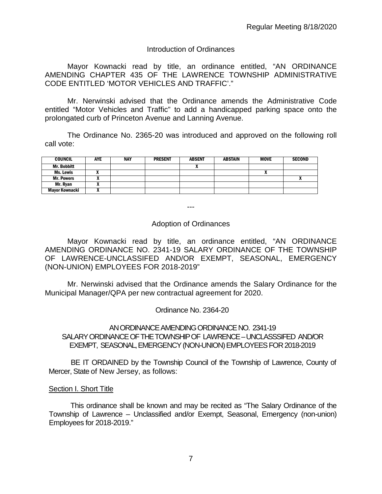# Introduction of Ordinances

Mayor Kownacki read by title, an ordinance entitled, "AN ORDINANCE AMENDING CHAPTER 435 OF THE LAWRENCE TOWNSHIP ADMINISTRATIVE CODE ENTITLED 'MOTOR VEHICLES AND TRAFFIC'."

Mr. Nerwinski advised that the Ordinance amends the Administrative Code entitled "Motor Vehicles and Traffic" to add a handicapped parking space onto the prolongated curb of Princeton Avenue and Lanning Avenue.

The Ordinance No. 2365-20 was introduced and approved on the following roll call vote:

| <b>COUNCIL</b>     | <b>AYE</b> | <b>NAY</b> | <b>PRESENT</b> | <b>ABSENT</b> | <b>ABSTAIN</b> | <b>MOVE</b> | <b>SECOND</b> |
|--------------------|------------|------------|----------------|---------------|----------------|-------------|---------------|
| <b>Mr. Bobbitt</b> |            |            |                |               |                |             |               |
| Ms. Lewis          | ,,         |            |                |               |                | ^           |               |
| <b>Mr. Powers</b>  |            |            |                |               |                |             |               |
| Mr. Ryan           |            |            |                |               |                |             |               |
| Mayor Kownacki     |            |            |                |               |                |             |               |

---

# Adoption of Ordinances

Mayor Kownacki read by title, an ordinance entitled, "AN ORDINANCE AMENDING ORDINANCE NO. 2341-19 SALARY ORDINANCE OF THE TOWNSHIP OF LAWRENCE-UNCLASSIFED AND/OR EXEMPT, SEASONAL, EMERGENCY (NON-UNION) EMPLOYEES FOR 2018-2019"

Mr. Nerwinski advised that the Ordinance amends the Salary Ordinance for the Municipal Manager/QPA per new contractual agreement for 2020.

Ordinance No. 2364-20

# AN ORDINANCE AMENDING ORDINANCE NO. 2341-19 SALARY ORDINANCE OF THE TOWNSHIP OF LAWRENCE –UNCLASSSIFED AND/OR EXEMPT, SEASONAL,EMERGENCY (NON-UNION) EMPLOYEES FOR 2018-2019

BE IT ORDAINED by the Township Council of the Township of Lawrence, County of Mercer, State of New Jersey, as follows:

# Section I. Short Title

This ordinance shall be known and may be recited as "The Salary Ordinance of the Township of Lawrence – Unclassified and/or Exempt, Seasonal, Emergency (non-union) Employees for 2018-2019."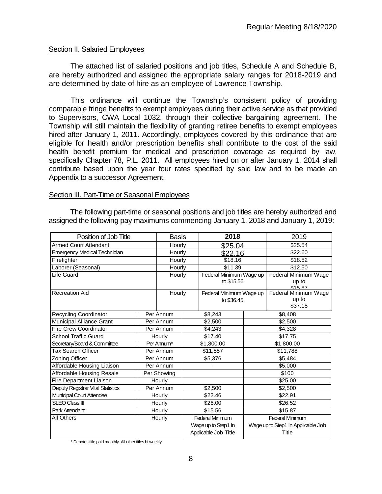## Section II. Salaried Employees

The attached list of salaried positions and job titles, Schedule A and Schedule B, are hereby authorized and assigned the appropriate salary ranges for 2018-2019 and are determined by date of hire as an employee of Lawrence Township.

This ordinance will continue the Township's consistent policy of providing comparable fringe benefits to exempt employees during their active service as that provided to Supervisors, CWA Local 1032, through their collective bargaining agreement. The Township will still maintain the flexibility of granting retiree benefits to exempt employees hired after January 1, 2011. Accordingly, employees covered by this ordinance that are eligible for health and/or prescription benefits shall contribute to the cost of the said health benefit premium for medical and prescription coverage as required by law, specifically Chapter 78, P.L. 2011. All employees hired on or after January 1, 2014 shall contribute based upon the year four rates specified by said law and to be made an Appendix to a successor Agreement.

#### Section III. Part-Time or Seasonal Employees

The following part-time or seasonal positions and job titles are hereby authorized and assigned the following pay maximums commencing January 1, 2018 and January 1, 2019:

| Position of Job Title               |            | <b>Basis</b> |         | 2018                    |  | 2019                               |  |
|-------------------------------------|------------|--------------|---------|-------------------------|--|------------------------------------|--|
| <b>Armed Court Attendant</b>        |            | Hourly       |         | \$25.04                 |  | \$25.54                            |  |
| <b>Emergency Medical Technician</b> |            | Hourly       |         | \$22.16                 |  | \$22.60                            |  |
| Firefighter                         |            | Hourly       |         | \$18.16                 |  | \$18.52                            |  |
| Laborer (Seasonal)                  |            | Hourly       |         | \$11.39                 |  | \$12.50                            |  |
| Life Guard                          |            | Hourly       |         | Federal Minimum Wage up |  | Federal Minimum Wage               |  |
|                                     |            |              |         | to \$15.56              |  | up to<br>\$15.87                   |  |
| <b>Recreation Aid</b>               |            | Hourly       |         | Federal Minimum Wage up |  | <b>Federal Minimum Wage</b>        |  |
|                                     |            |              |         | to \$36.45              |  | up to                              |  |
|                                     |            |              |         |                         |  | \$37.18                            |  |
| <b>Recycling Coordinator</b>        |            | Per Annum    |         | \$8,243                 |  | \$8,408                            |  |
| Municipal Alliance Grant            |            | Per Annum    |         | \$2,500                 |  | \$2,500                            |  |
| <b>Fire Crew Coordinator</b>        |            | Per Annum    |         | \$4,243                 |  | \$4,328                            |  |
| <b>School Traffic Guard</b>         |            | Hourly       |         | \$17.40                 |  | \$17.75                            |  |
| Secretary/Board & Committee         | Per Annum* |              |         | \$1,800.00              |  | \$1,800.00                         |  |
| Tax Search Officer                  |            | Per Annum    |         | \$11,557                |  | \$11,788                           |  |
| Zoning Officer                      |            | Per Annum    |         | \$5,376                 |  | \$5,484                            |  |
| Affordable Housing Liaison          |            | Per Annum    |         |                         |  | \$5,000                            |  |
| Affordable Housing Resale           |            | Per Showing  |         |                         |  | \$100                              |  |
| Fire Department Liaison             |            | Hourly       |         |                         |  | \$25.00                            |  |
| Deputy Registrar Vital Statistics   |            | Per Annum    |         | \$2,500                 |  | \$2,500                            |  |
| Municipal Court Attendee            |            | Hourly       |         | \$22.46                 |  | \$22.91                            |  |
| <b>SLEO Class III</b>               | Hourly     |              |         | \$26.00                 |  | \$26.52                            |  |
| Park Attendant                      | Hourly     |              | \$15.56 |                         |  | \$15.87                            |  |
| All Others                          |            | Hourly       |         | Federal Minimum         |  | <b>Federal Minimum</b>             |  |
|                                     |            |              |         | Wage up to Step1 In     |  | Wage up to Step1 In Applicable Job |  |
|                                     |            |              |         | Applicable Job Title    |  | Title                              |  |

\* Denotes title paid monthly. All other titles bi-weekly.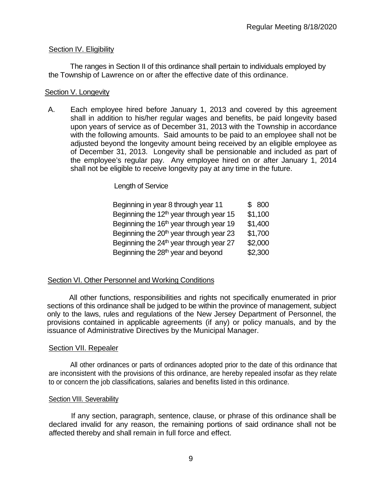# Section IV. Eligibility

The ranges in Section II of this ordinance shall pertain to individuals employed by the Township of Lawrence on or after the effective date of this ordinance.

# Section V. Longevity

A. Each employee hired before January 1, 2013 and covered by this agreement shall in addition to his/her regular wages and benefits, be paid longevity based upon years of service as of December 31, 2013 with the Township in accordance with the following amounts. Said amounts to be paid to an employee shall not be adjusted beyond the longevity amount being received by an eligible employee as of December 31, 2013. Longevity shall be pensionable and included as part of the employee's regular pay. Any employee hired on or after January 1, 2014 shall not be eligible to receive longevity pay at any time in the future.

Length of Service

| Beginning in year 8 through year 11                 | \$800   |
|-----------------------------------------------------|---------|
| Beginning the $12th$ year through year 15           | \$1,100 |
| Beginning the 16 <sup>th</sup> year through year 19 | \$1,400 |
| Beginning the 20 <sup>th</sup> year through year 23 | \$1,700 |
| Beginning the 24 <sup>th</sup> year through year 27 | \$2,000 |
| Beginning the 28 <sup>th</sup> year and beyond      | \$2,300 |

# Section VI. Other Personnel and Working Conditions

All other functions, responsibilities and rights not specifically enumerated in prior sections of this ordinance shall be judged to be within the province of management, subject only to the laws, rules and regulations of the New Jersey Department of Personnel, the provisions contained in applicable agreements (if any) or policy manuals, and by the issuance of Administrative Directives by the Municipal Manager.

# Section VII. Repealer

All other ordinances or parts of ordinances adopted prior to the date of this ordinance that are inconsistent with the provisions of this ordinance, are hereby repealed insofar as they relate to or concern the job classifications, salaries and benefits listed in this ordinance.

# Section VIII. Severability

If any section, paragraph, sentence, clause, or phrase of this ordinance shall be declared invalid for any reason, the remaining portions of said ordinance shall not be affected thereby and shall remain in full force and effect.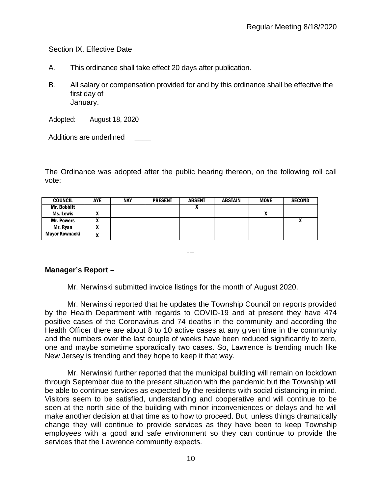# Section IX. Effective Date

- A. This ordinance shall take effect 20 days after publication.
- B. All salary or compensation provided for and by this ordinance shall be effective the first day of January.

Adopted: August 18, 2020

Additions are underlined

The Ordinance was adopted after the public hearing thereon, on the following roll call vote:

| <b>COUNCIL</b>     | <b>AYE</b> | <b>NAY</b> | <b>PRESENT</b> | <b>ABSENT</b> | <b>ABSTAIN</b> | <b>MOVE</b>  | <b>SECOND</b> |
|--------------------|------------|------------|----------------|---------------|----------------|--------------|---------------|
| <b>Mr. Bobbitt</b> |            |            |                |               |                |              |               |
| Ms. Lewis          | ~          |            |                |               |                | $\mathbf{r}$ |               |
| <b>Mr. Powers</b>  |            |            |                |               |                |              |               |
| Mr. Ryan           | ~          |            |                |               |                |              |               |
| Mayor Kownacki     | ~          |            |                |               |                |              |               |

---

# **Manager's Report –**

Mr. Nerwinski submitted invoice listings for the month of August 2020.

Mr. Nerwinski reported that he updates the Township Council on reports provided by the Health Department with regards to COVID-19 and at present they have 474 positive cases of the Coronavirus and 74 deaths in the community and according the Health Officer there are about 8 to 10 active cases at any given time in the community and the numbers over the last couple of weeks have been reduced significantly to zero, one and maybe sometime sporadically two cases. So, Lawrence is trending much like New Jersey is trending and they hope to keep it that way.

Mr. Nerwinski further reported that the municipal building will remain on lockdown through September due to the present situation with the pandemic but the Township will be able to continue services as expected by the residents with social distancing in mind. Visitors seem to be satisfied, understanding and cooperative and will continue to be seen at the north side of the building with minor inconveniences or delays and he will make another decision at that time as to how to proceed. But, unless things dramatically change they will continue to provide services as they have been to keep Township employees with a good and safe environment so they can continue to provide the services that the Lawrence community expects.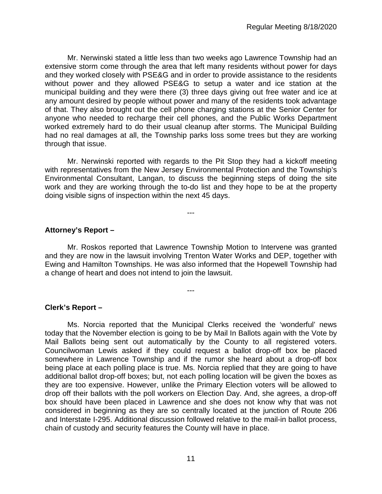Mr. Nerwinski stated a little less than two weeks ago Lawrence Township had an extensive storm come through the area that left many residents without power for days and they worked closely with PSE&G and in order to provide assistance to the residents without power and they allowed PSE&G to setup a water and ice station at the municipal building and they were there (3) three days giving out free water and ice at any amount desired by people without power and many of the residents took advantage of that. They also brought out the cell phone charging stations at the Senior Center for anyone who needed to recharge their cell phones, and the Public Works Department worked extremely hard to do their usual cleanup after storms. The Municipal Building had no real damages at all, the Township parks loss some trees but they are working through that issue.

Mr. Nerwinski reported with regards to the Pit Stop they had a kickoff meeting with representatives from the New Jersey Environmental Protection and the Township's Environmental Consultant, Langan, to discuss the beginning steps of doing the site work and they are working through the to-do list and they hope to be at the property doing visible signs of inspection within the next 45 days.

---

# **Attorney's Report –**

Mr. Roskos reported that Lawrence Township Motion to Intervene was granted and they are now in the lawsuit involving Trenton Water Works and DEP, together with Ewing and Hamilton Townships. He was also informed that the Hopewell Township had a change of heart and does not intend to join the lawsuit.

---

# **Clerk's Report –**

Ms. Norcia reported that the Municipal Clerks received the 'wonderful' news today that the November election is going to be by Mail In Ballots again with the Vote by Mail Ballots being sent out automatically by the County to all registered voters. Councilwoman Lewis asked if they could request a ballot drop-off box be placed somewhere in Lawrence Township and if the rumor she heard about a drop-off box being place at each polling place is true. Ms. Norcia replied that they are going to have additional ballot drop-off boxes; but, not each polling location will be given the boxes as they are too expensive. However, unlike the Primary Election voters will be allowed to drop off their ballots with the poll workers on Election Day. And, she agrees, a drop-off box should have been placed in Lawrence and she does not know why that was not considered in beginning as they are so centrally located at the junction of Route 206 and Interstate I-295. Additional discussion followed relative to the mail-in ballot process, chain of custody and security features the County will have in place.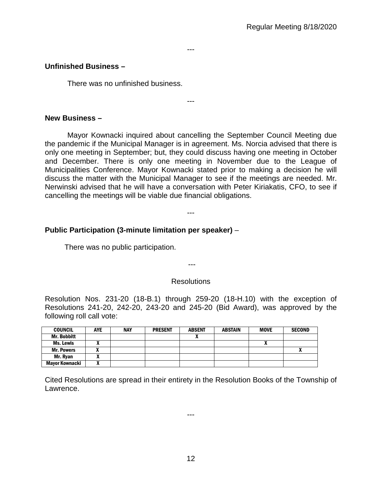---

---

## **Unfinished Business –**

There was no unfinished business.

#### **New Business –**

Mayor Kownacki inquired about cancelling the September Council Meeting due the pandemic if the Municipal Manager is in agreement. Ms. Norcia advised that there is only one meeting in September; but, they could discuss having one meeting in October and December. There is only one meeting in November due to the League of Municipalities Conference. Mayor Kownacki stated prior to making a decision he will discuss the matter with the Municipal Manager to see if the meetings are needed. Mr. Nerwinski advised that he will have a conversation with Peter Kiriakatis, CFO, to see if cancelling the meetings will be viable due financial obligations.

---

## **Public Participation (3-minute limitation per speaker)** –

There was no public participation.

# ---

## **Resolutions**

Resolution Nos. 231-20 (18-B.1) through 259-20 (18-H.10) with the exception of Resolutions 241-20, 242-20, 243-20 and 245-20 (Bid Award), was approved by the following roll call vote:

| <b>COUNCIL</b>     | AYE | <b>NAY</b> | <b>PRESENT</b> | <b>ABSENT</b> | <b>ABSTAIN</b> | <b>MOVE</b> | <b>SECOND</b> |
|--------------------|-----|------------|----------------|---------------|----------------|-------------|---------------|
| <b>Mr. Bobbitt</b> |     |            |                |               |                |             |               |
| Ms. Lewis          |     |            |                |               |                | n           |               |
| <b>Mr. Powers</b>  |     |            |                |               |                |             |               |
| Mr. Ryan           |     |            |                |               |                |             |               |
| Mayor Kownacki     |     |            |                |               |                |             |               |

Cited Resolutions are spread in their entirety in the Resolution Books of the Township of Lawrence.

---